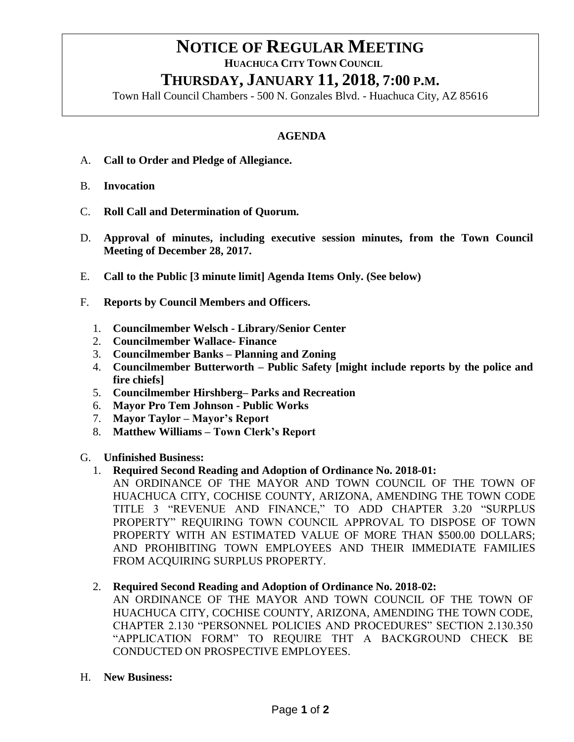## **NOTICE OF REGULAR MEETING HUACHUCA CITY TOWN COUNCIL THURSDAY, JANUARY 11, 2018, 7:00 P.M.**

Town Hall Council Chambers - 500 N. Gonzales Blvd. - Huachuca City, AZ 85616

## **AGENDA**

- A. **Call to Order and Pledge of Allegiance.**
- B. **Invocation**
- C. **Roll Call and Determination of Quorum.**
- D. **Approval of minutes, including executive session minutes, from the Town Council Meeting of December 28, 2017.**
- E. **Call to the Public [3 minute limit] Agenda Items Only. (See below)**
- F. **Reports by Council Members and Officers.**
	- 1. **Councilmember Welsch - Library/Senior Center**
	- 2. **Councilmember Wallace- Finance**
	- 3. **Councilmember Banks – Planning and Zoning**
	- 4. **Councilmember Butterworth – Public Safety [might include reports by the police and fire chiefs]**
	- 5. **Councilmember Hirshberg– Parks and Recreation**
	- 6. **Mayor Pro Tem Johnson - Public Works**
	- 7. **Mayor Taylor – Mayor's Report**
	- 8. **Matthew Williams – Town Clerk's Report**
- G. **Unfinished Business:**

## 1. **Required Second Reading and Adoption of Ordinance No. 2018-01:**

- AN ORDINANCE OF THE MAYOR AND TOWN COUNCIL OF THE TOWN OF HUACHUCA CITY, COCHISE COUNTY, ARIZONA, AMENDING THE TOWN CODE TITLE 3 "REVENUE AND FINANCE," TO ADD CHAPTER 3.20 "SURPLUS PROPERTY" REQUIRING TOWN COUNCIL APPROVAL TO DISPOSE OF TOWN PROPERTY WITH AN ESTIMATED VALUE OF MORE THAN \$500.00 DOLLARS; AND PROHIBITING TOWN EMPLOYEES AND THEIR IMMEDIATE FAMILIES FROM ACQUIRING SURPLUS PROPERTY.
- 2. **Required Second Reading and Adoption of Ordinance No. 2018-02:** 
	- AN ORDINANCE OF THE MAYOR AND TOWN COUNCIL OF THE TOWN OF HUACHUCA CITY, COCHISE COUNTY, ARIZONA, AMENDING THE TOWN CODE, CHAPTER 2.130 "PERSONNEL POLICIES AND PROCEDURES" SECTION 2.130.350 "APPLICATION FORM" TO REQUIRE THT A BACKGROUND CHECK BE CONDUCTED ON PROSPECTIVE EMPLOYEES.
- H. **New Business:**